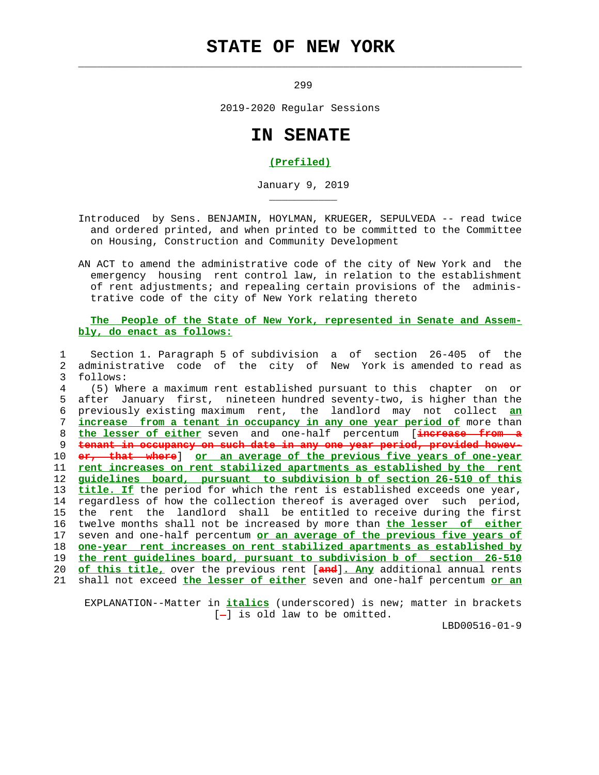## **STATE OF NEW YORK**

 $\mathcal{L}_\text{max} = \frac{1}{2} \sum_{i=1}^{n} \frac{1}{2} \sum_{i=1}^{n} \frac{1}{2} \sum_{i=1}^{n} \frac{1}{2} \sum_{i=1}^{n} \frac{1}{2} \sum_{i=1}^{n} \frac{1}{2} \sum_{i=1}^{n} \frac{1}{2} \sum_{i=1}^{n} \frac{1}{2} \sum_{i=1}^{n} \frac{1}{2} \sum_{i=1}^{n} \frac{1}{2} \sum_{i=1}^{n} \frac{1}{2} \sum_{i=1}^{n} \frac{1}{2} \sum_{i=1}^{n} \frac{1$ 

\_\_\_\_\_\_\_\_\_\_\_

299

2019-2020 Regular Sessions

## **IN SENATE**

## **(Prefiled)**

January 9, 2019

- Introduced by Sens. BENJAMIN, HOYLMAN, KRUEGER, SEPULVEDA -- read twice and ordered printed, and when printed to be committed to the Committee on Housing, Construction and Community Development
- AN ACT to amend the administrative code of the city of New York and the emergency housing rent control law, in relation to the establishment of rent adjustments; and repealing certain provisions of the adminis trative code of the city of New York relating thereto

## **The People of the State of New York, represented in Senate and Assem bly, do enact as follows:**

 1 Section 1. Paragraph 5 of subdivision a of section 26-405 of the 2 administrative code of the city of New York is amended to read as 3 follows: 4 (5) Where a maximum rent established pursuant to this chapter on or 5 after January first, nineteen hundred seventy-two, is higher than the 6 previously existing maximum rent, the landlord may not collect **an** 7 **increase from a tenant in occupancy in any one year period of** more than 8 **the lesser of either** seven and one-half percentum [**increase from a** 9 **tenant in occupancy on such date in any one year period, provided howev-** 10 **er, that where**] **or an average of the previous five years of one-year** 11 **rent increases on rent stabilized apartments as established by the rent** 12 **guidelines board, pursuant to subdivision b of section 26-510 of this** 13 **title. If** the period for which the rent is established exceeds one year, 14 regardless of how the collection thereof is averaged over such period, 15 the rent the landlord shall be entitled to receive during the first 16 twelve months shall not be increased by more than **the lesser of either** 17 seven and one-half percentum **or an average of the previous five years of** 18 **one-year rent increases on rent stabilized apartments as established by** 19 **the rent guidelines board, pursuant to subdivision b of section 26-510** 20 **of this title,** over the previous rent [**and**]**. Any** additional annual rents 21 shall not exceed **the lesser of either** seven and one-half percentum **or an**

 EXPLANATION--Matter in **italics** (underscored) is new; matter in brackets  $[-]$  is old law to be omitted.

LBD00516-01-9